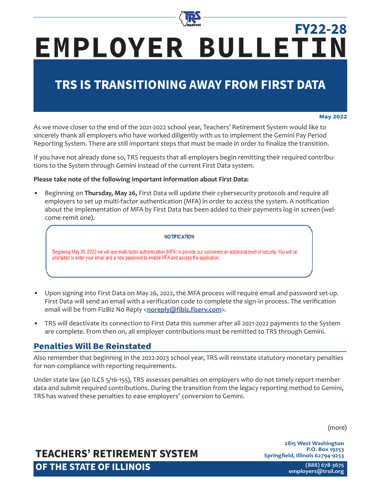

# **EMPLOYER BULLETIN FY22-28**

## **TRS IS TRANSITIONING AWAY FROM FIRST DATA**

#### **May 2022**

As we move closer to the end of the 2021-2022 school year, Teachers' Retirement System would like to sincerely thank all employers who have worked diligently with us to implement the Gemini Pay Period Reporting System. There are still important steps that must be made in order to finalize the transition.

If you have not already done so, TRS requests that all employers begin remitting their required contributions to the System through Gemini instead of the current First Data system.

### **Please take note of the following important information about First Data:**

• Beginning on **Thursday, May 26,** First Data will update their cybersecurity protocols and require all employers to set up multi-factor authentication (MFA) in order to access the system. A notification about the implementation of MFA by First Data has been added to their payments log-in screen (welcome-remit one).

#### **NOTIFICATION**

Beginning May 26, 2022 we will use multi-factor authentication (MFA) to provide our customers an additional level of security. You will be prompted to enter your email and a new password to enable MFA and access the application.

- Upon signing into First Data on May 26, 2022, the MFA process will require email and password set-up. First Data will send an email with a verification code to complete the sign-in process. The verification email will be from FizBiz No Reply <**noreply@fibiz.fiserv.com**>.
- TRS will deactivate its connection to First Data this summer after all 2021-2022 payments to the System are complete. From then on, all employer contributions must be remitted to TRS through Gemini.

### **Penalties Will Be Reinstated**

Also remember that beginning in the 2022-2023 school year, TRS will reinstate statutory monetary penalties for non-compliance with reporting requirements.

Under state law (40 ILCS 5/16-155), TRS assesses penalties on employers who do not timely report member data and submit required contributions. During the transition from the legacy reporting method to Gemini, TRS has waived these penalties to ease employers' conversion to Gemini.

(more)

**2815 West Washington P.O. Box 19253 Springfield, Illinois 62794-9253**

## **TEACHERS' RETIREMENT SYSTEM OF THE STATE OF ILLINOIS**

**(888) 678-3675 [employers@trsi](mailto:employers%40trs.illinois.gov?subject=)l.org**